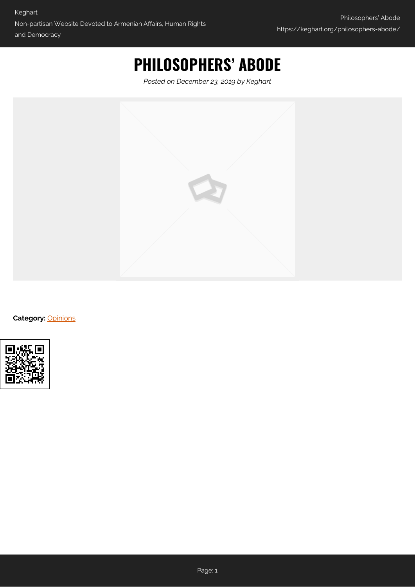## **PHILOSOPHERS' ABODE**

*Posted on December 23, 2019 by Keghart*



**Category:** [Opinions](https://keghart.org/category/opinions/)